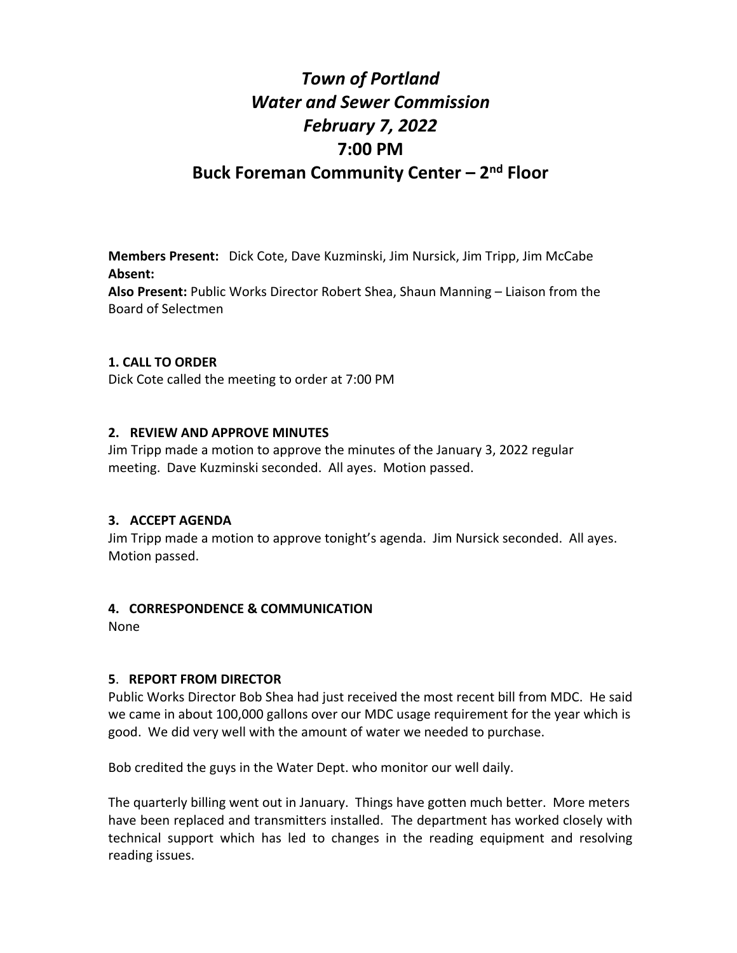# *Town of Portland Water and Sewer Commission February 7, 2022* **7:00 PM Buck Foreman Community Center – 2nd Floor**

**Members Present:** Dick Cote, Dave Kuzminski, Jim Nursick, Jim Tripp, Jim McCabe **Absent:**

**Also Present:** Public Works Director Robert Shea, Shaun Manning – Liaison from the Board of Selectmen

#### **1. CALL TO ORDER**

Dick Cote called the meeting to order at 7:00 PM

#### **2. REVIEW AND APPROVE MINUTES**

Jim Tripp made a motion to approve the minutes of the January 3, 2022 regular meeting. Dave Kuzminski seconded. All ayes. Motion passed.

#### **3. ACCEPT AGENDA**

Jim Tripp made a motion to approve tonight's agenda. Jim Nursick seconded. All ayes. Motion passed.

#### **4. CORRESPONDENCE & COMMUNICATION**

None

#### **5**. **REPORT FROM DIRECTOR**

Public Works Director Bob Shea had just received the most recent bill from MDC. He said we came in about 100,000 gallons over our MDC usage requirement for the year which is good. We did very well with the amount of water we needed to purchase.

Bob credited the guys in the Water Dept. who monitor our well daily.

The quarterly billing went out in January. Things have gotten much better. More meters have been replaced and transmitters installed. The department has worked closely with technical support which has led to changes in the reading equipment and resolving reading issues.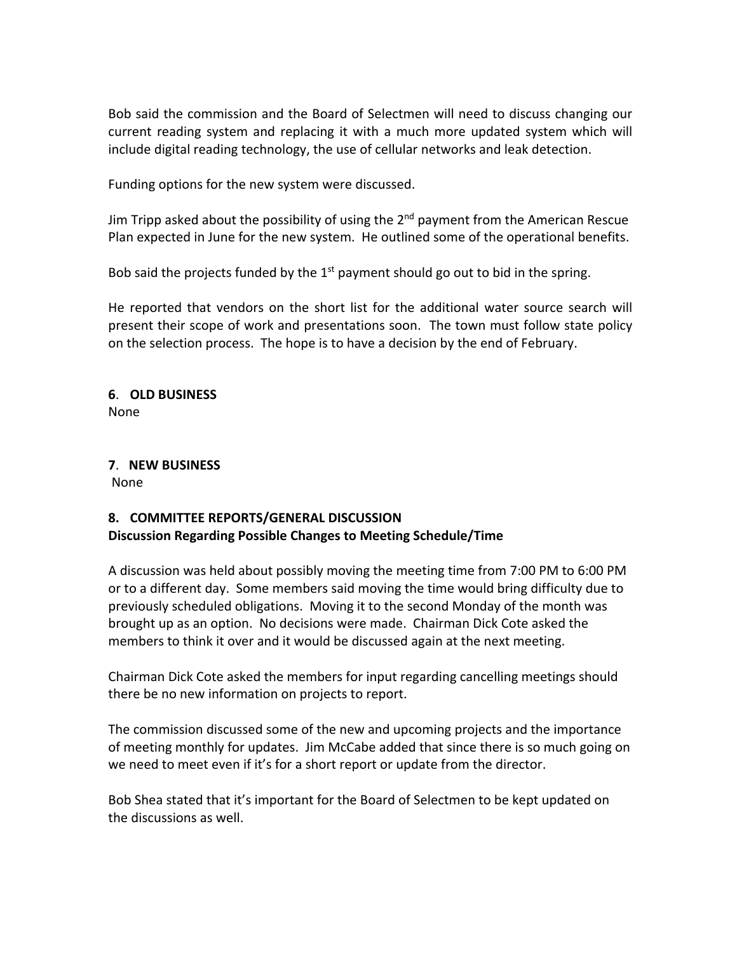Bob said the commission and the Board of Selectmen will need to discuss changing our current reading system and replacing it with a much more updated system which will include digital reading technology, the use of cellular networks and leak detection.

Funding options for the new system were discussed.

Jim Tripp asked about the possibility of using the  $2^{nd}$  payment from the American Rescue Plan expected in June for the new system. He outlined some of the operational benefits.

Bob said the projects funded by the  $1<sup>st</sup>$  payment should go out to bid in the spring.

He reported that vendors on the short list for the additional water source search will present their scope of work and presentations soon. The town must follow state policy on the selection process. The hope is to have a decision by the end of February.

**6**. **OLD BUSINESS**  None

**7**. **NEW BUSINESS** None

### **8. COMMITTEE REPORTS/GENERAL DISCUSSION Discussion Regarding Possible Changes to Meeting Schedule/Time**

A discussion was held about possibly moving the meeting time from 7:00 PM to 6:00 PM or to a different day. Some members said moving the time would bring difficulty due to previously scheduled obligations. Moving it to the second Monday of the month was brought up as an option. No decisions were made. Chairman Dick Cote asked the members to think it over and it would be discussed again at the next meeting.

Chairman Dick Cote asked the members for input regarding cancelling meetings should there be no new information on projects to report.

The commission discussed some of the new and upcoming projects and the importance of meeting monthly for updates. Jim McCabe added that since there is so much going on we need to meet even if it's for a short report or update from the director.

Bob Shea stated that it's important for the Board of Selectmen to be kept updated on the discussions as well.